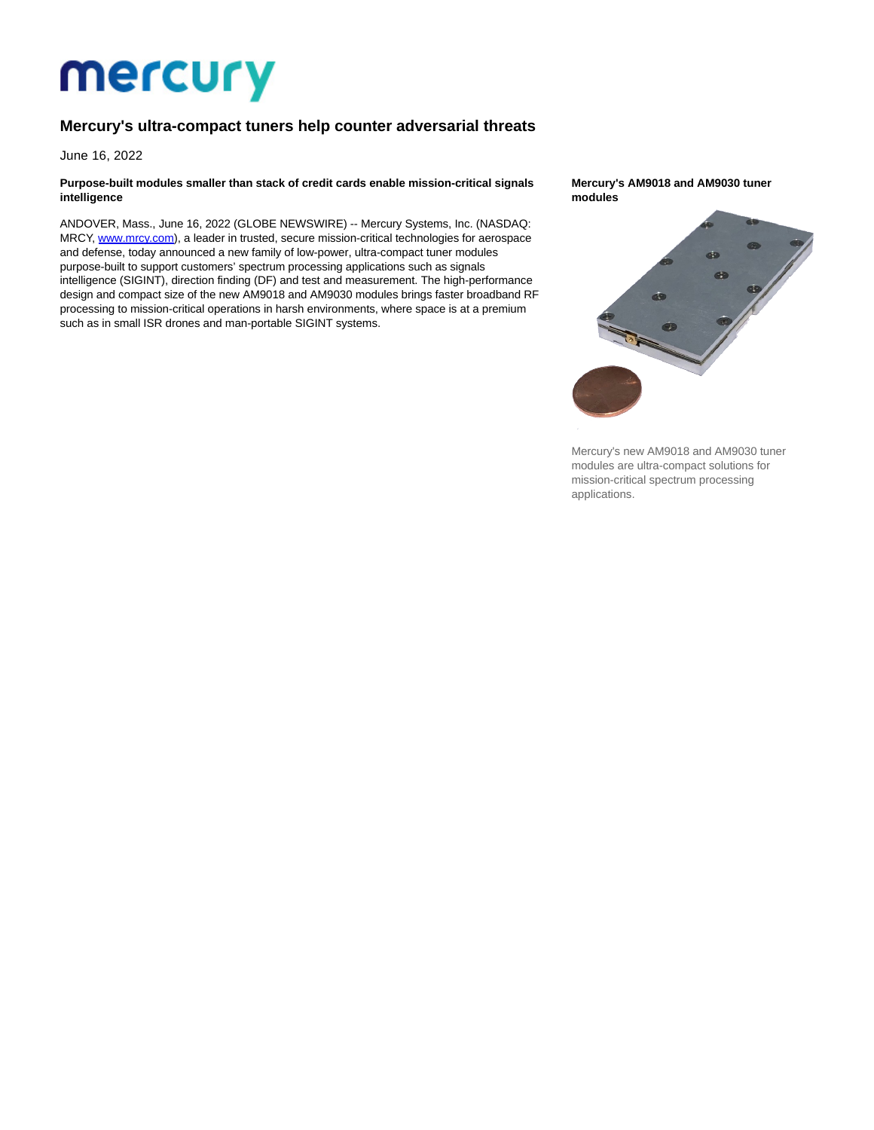# **Mercury**

## **Mercury's ultra-compact tuners help counter adversarial threats**

June 16, 2022

#### **Purpose-built modules smaller than stack of credit cards enable mission-critical signals intelligence**

ANDOVER, Mass., June 16, 2022 (GLOBE NEWSWIRE) -- Mercury Systems, Inc. (NASDAQ: MRCY, [www.mrcy.com\),](https://www.globenewswire.com/Tracker?data=_QLwK2HS9gWUaL5w85ZX3OJRIbxBXvdHXhnfN3l75XXlyZdC2G-q0RZSnKDD7ncrKA61BbI_VythFN-t_bfA6cCQw6y4CSrVyNMzGFxS4cg_1l91h3c_xHreN5RZRG3zjAYRDUWgx9vreBxsOFF_-FJD0XTuma4RVEEU6oq-SMtqbirg4lgyMjmlSy7KupUr2HFyRzmP7TgaYGYWyWPFjQ==) a leader in trusted, secure mission-critical technologies for aerospace and defense, today announced a new family of low-power, ultra-compact tuner modules purpose-built to support customers' spectrum processing applications such as signals intelligence (SIGINT), direction finding (DF) and test and measurement. The high-performance design and compact size of the new AM9018 and AM9030 modules brings faster broadband RF processing to mission-critical operations in harsh environments, where space is at a premium such as in small ISR drones and man-portable SIGINT systems.

#### **Mercury's AM9018 and AM9030 tuner modules**



Mercury's new AM9018 and AM9030 tuner modules are ultra-compact solutions for mission-critical spectrum processing applications.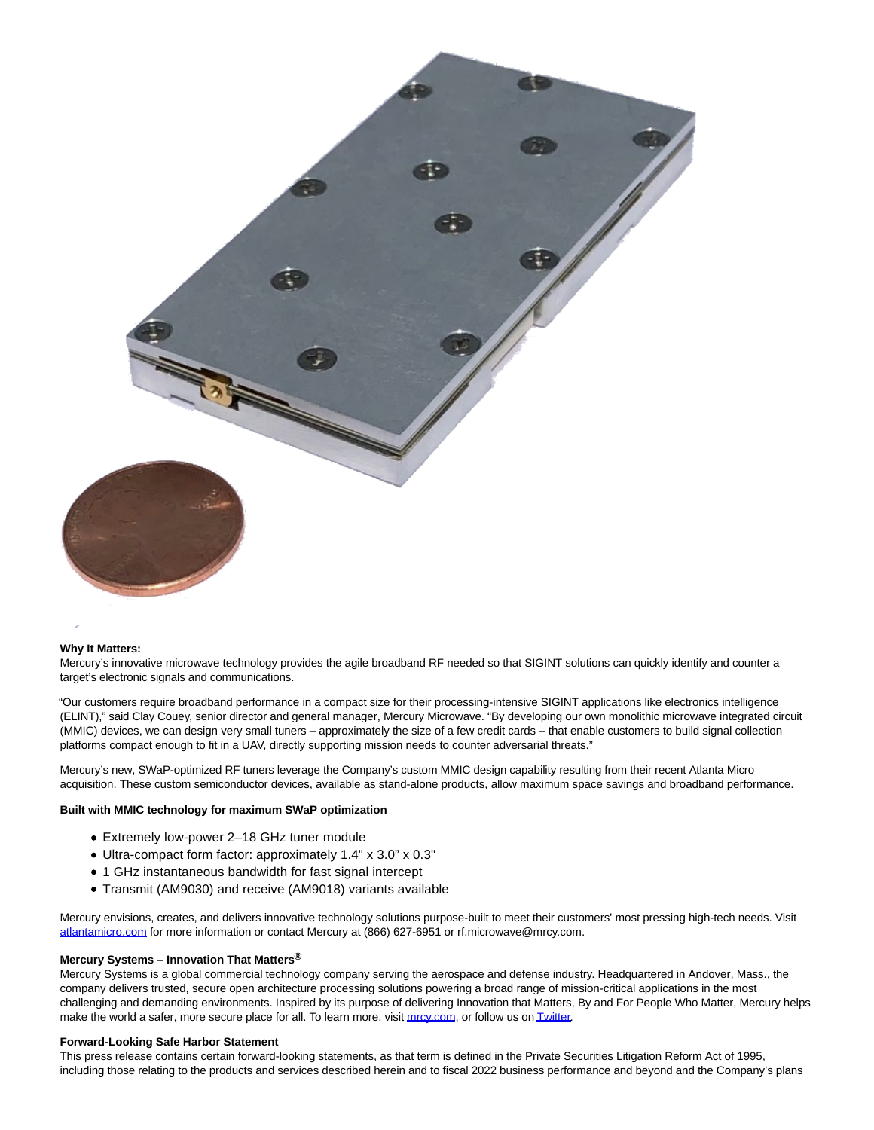

#### **Why It Matters:**

Mercury's innovative microwave technology provides the agile broadband RF needed so that SIGINT solutions can quickly identify and counter a target's electronic signals and communications.

"Our customers require broadband performance in a compact size for their processing-intensive SIGINT applications like electronics intelligence (ELINT)," said Clay Couey, senior director and general manager, Mercury Microwave. "By developing our own monolithic microwave integrated circuit (MMIC) devices, we can design very small tuners – approximately the size of a few credit cards – that enable customers to build signal collection platforms compact enough to fit in a UAV, directly supporting mission needs to counter adversarial threats."

Mercury's new, SWaP-optimized RF tuners leverage the Company's custom MMIC design capability resulting from their recent Atlanta Micro acquisition. These custom semiconductor devices, available as stand-alone products, allow maximum space savings and broadband performance.

#### **Built with MMIC technology for maximum SWaP optimization**

- Extremely low-power 2–18 GHz tuner module
- Ultra-compact form factor: approximately 1.4" x 3.0" x 0.3"
- 1 GHz instantaneous bandwidth for fast signal intercept
- Transmit (AM9030) and receive (AM9018) variants available

Mercury envisions, creates, and delivers innovative technology solutions purpose-built to meet their customers' most pressing high-tech needs. Visit [atlantamicro.com f](https://www.globenewswire.com/Tracker?data=kqGNjtbiHivGuamm8ufn0MoYEaT3ZEWuBkgPL8V7rvNj2_vhYN7Y8W0Dwe074-xmXK2ESOnCW7FOeTamWGYlMWJnf3fhMbT2GXktIH5Qbfo=)or more information or contact Mercury at (866) 627-6951 or rf.microwave@mrcy.com.

### **Mercury Systems – Innovation That Matters®**

Mercury Systems is a global commercial technology company serving the aerospace and defense industry. Headquartered in Andover, Mass., the company delivers trusted, secure open architecture processing solutions powering a broad range of mission-critical applications in the most challenging and demanding environments. Inspired by its purpose of delivering Innovation that Matters, By and For People Who Matter, Mercury helps make the world a safer, more secure place for all. To learn more, visi[t mrcy.com,](https://www.globenewswire.com/Tracker?data=A_q7qmU0cSpx5Hr0xQtf62sPObxETCTw9moAKpHnXX4lHoA8vMvTSUqk4CmNI0oDq8ubwX7nlljTat-HHm7tQKvmobACf32rUBQE0SNx88sAj2ATvt9wXAeWHbBn3W7VrXpO2a-q6RuH8rD2WMTrlT48_DY12dWCj98YFD8-YO_pk-qRPn2e8RPD6DFb0njVEmEVtEzNsjYpuzDmYetrGQ==) or follow us o[n Twitter.](https://www.globenewswire.com/Tracker?data=hjTN-wvYXbgqs9xoi34vxqh4yODDAFbUfIbX2OuafPeA4OQFvY8KVoXYpqtTYDGz2Ek8oVqZlhho9CXej3nlFw==)

#### **Forward-Looking Safe Harbor Statement**

This press release contains certain forward-looking statements, as that term is defined in the Private Securities Litigation Reform Act of 1995, including those relating to the products and services described herein and to fiscal 2022 business performance and beyond and the Company's plans